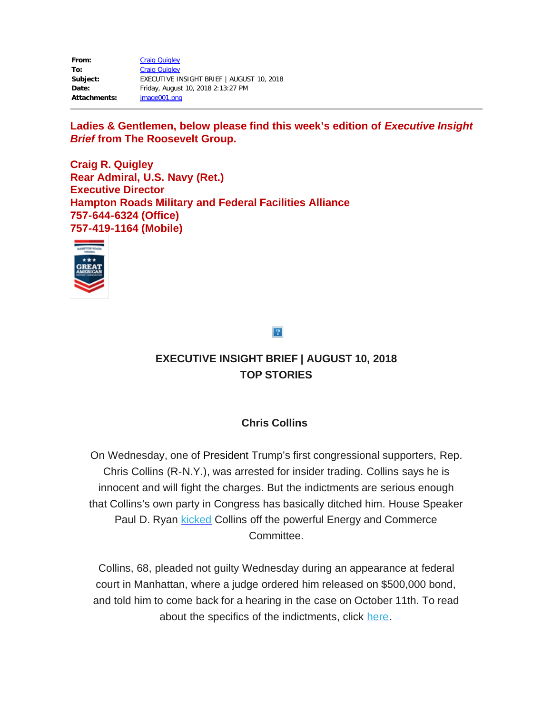| From:               | <b>Craig Quigley</b>                      |
|---------------------|-------------------------------------------|
| To:                 | <b>Craig Quigley</b>                      |
| Subject:            | EXECUTIVE INSIGHT BRIEF   AUGUST 10, 2018 |
| Date:               | Friday, August 10, 2018 2:13:27 PM        |
| <b>Attachments:</b> | image001.png                              |

Ladies & Gentlemen, below please find this week's edition of *Executive Insight Brief* **from The Roosevelt Group.** 

**Craig R. Quigley Rear Admiral, U.S. Navy (Ret.) Executive Director Hampton Roads Military and Federal Facilities Alliance 757-644-6324 (Office) 757-419-1164 (Mobile)** 



 $\overline{?}$ 

# **EXECUTIVE INSIGHT BRIEF | AUGUST 10, 2018 TOP STORIES**

## **Chris Collins**

 On Wednesday, one of President Trump's first congressional supporters, Rep. Chris Collins (R-N.Y.), was arrested for insider trading. Collins says he is innocent and will fight the charges. But the indictments are serious enough that Collins's own party in Congress has basically ditched him. House Speaker Paul D. Ryan [kicked](https://rooseveltdc.us12.list-manage.com/track/click?u=322456b7b4ad08c1b4904c407&id=68d557fece&e=5c6d0a3b33) Collins off the powerful Energy and Commerce Committee.

 Collins, 68, pleaded not guilty Wednesday during an appearance at federal court in Manhattan, where a judge ordered him released on \$500,000 bond, and told him to come back for a hearing in the case on October 11th. To read about the specifics of the indictments, click [here.](https://rooseveltdc.us12.list-manage.com/track/click?u=322456b7b4ad08c1b4904c407&id=aca38dc666&e=5c6d0a3b33)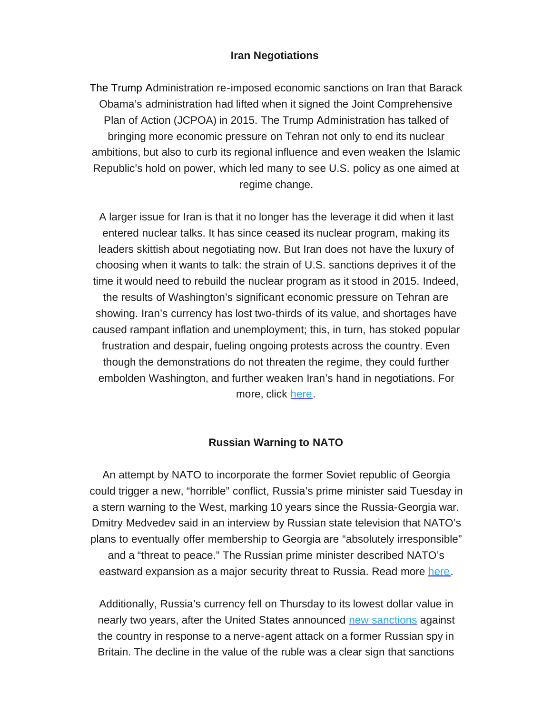#### **Iran Negotiations**

 The Trump Administration re-imposed economic sanctions on Iran that Barack Obama's administration had lifted when it signed the Joint Comprehensive Plan of Action (JCPOA) in 2015. The Trump Administration has talked of bringing more economic pressure on Tehran not only to end its nuclear ambitions, but also to curb its regional influence and even weaken the Islamic Republic's hold on power, which led many to see U.S. policy as one aimed at regime change.

 A larger issue for Iran is that it no longer has the leverage it did when it last entered nuclear talks. It has since ceased its nuclear program, making its leaders skittish about negotiating now. But Iran does not have the luxury of choosing when it wants to talk: the strain of U.S. sanctions deprives it of the time it would need to rebuild the nuclear program as it stood in 2015. Indeed, the results of Washington's significant economic pressure on Tehran are showing. Iran's currency has lost two-thirds of its value, and shortages have caused rampant inflation and unemployment; this, in turn, has stoked popular frustration and despair, fueling ongoing protests across the country. Even though the demonstrations do not threaten the regime, they could further embolden Washington, and further weaken Iran's hand in negotiations. For more, click <u>here</u>.

#### **Russian Warning to NATO**

 An attempt by NATO to incorporate the former Soviet republic of Georgia could trigger a new, "horrible" conflict, Russia's prime minister said Tuesday in a stern warning to the West, marking 10 years since the Russia-Georgia war. Dmitry Medvedev said in an interview by Russian state television that NATO's plans to eventually offer membership to Georgia are "absolutely irresponsible" and a "threat to peace." The Russian prime minister described NATO's eastward expansion as a major security threat to Russia. Read more [here.](https://rooseveltdc.us12.list-manage.com/track/click?u=322456b7b4ad08c1b4904c407&id=34d4e81bd5&e=5c6d0a3b33)

 Additionally, Russia's currency fell on Thursday to its lowest dollar value in nearly two years, after the United States announced **new sanctions** against the country in response to a nerve-agent attack on a former Russian spy in Britain. The decline in the value of the ruble was a clear sign that sanctions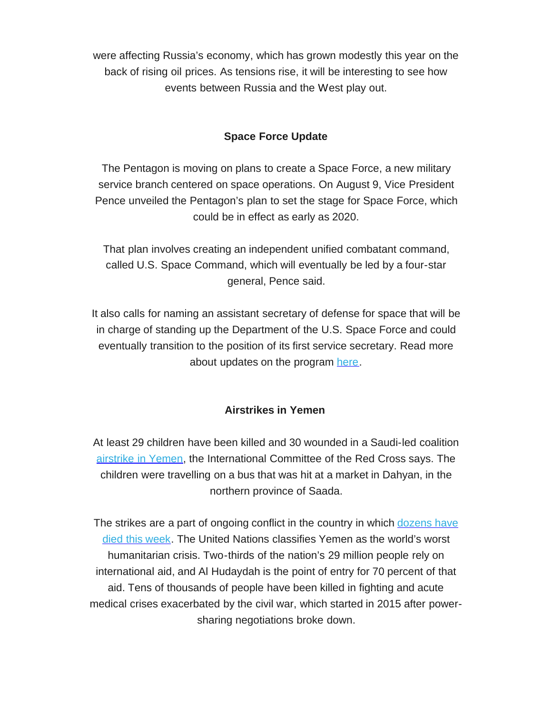were affecting Russia's economy, which has grown modestly this year on the back of rising oil prices. As tensions rise, it will be interesting to see how events between Russia and the West play out.

### **Space Force Update**

 The Pentagon is moving on plans to create a Space Force, a new military service branch centered on space operations. On August 9, Vice President Pence unveiled the Pentagon's plan to set the stage for Space Force, which could be in effect as early as 2020.

 That plan involves creating an independent unified combatant command, called U.S. Space Command, which will eventually be led by a four-star general, Pence said.

 It also calls for naming an assistant secretary of defense for space that will be in charge of standing up the Department of the U.S. Space Force and could eventually transition to the position of its first service secretary. Read more about updates on the program [here.](https://rooseveltdc.us12.list-manage.com/track/click?u=322456b7b4ad08c1b4904c407&id=cdbce172d8&e=5c6d0a3b33)

#### **Airstrikes in Yemen**

 At least 29 children have been killed and 30 wounded in a Saudi-led coalition [airstrike in Yemen](https://rooseveltdc.us12.list-manage.com/track/click?u=322456b7b4ad08c1b4904c407&id=8a917fe905&e=5c6d0a3b33), the International Committee of the Red Cross says. The children were travelling on a bus that was hit at a market in Dahyan, in the northern province of Saada.

The strikes are a part of ongoing conflict in the country in which dozens have [died this week.](https://rooseveltdc.us12.list-manage.com/track/click?u=322456b7b4ad08c1b4904c407&id=3f9e405518&e=5c6d0a3b33) The United Nations classifies Yemen as the world's worst humanitarian crisis. Two-thirds of the nation's 29 million people rely on international aid, and Al Hudaydah is the point of entry for 70 percent of that aid. Tens of thousands of people have been killed in fighting and acute medical crises exacerbated by the civil war, which started in 2015 after power-sharing negotiations broke down.